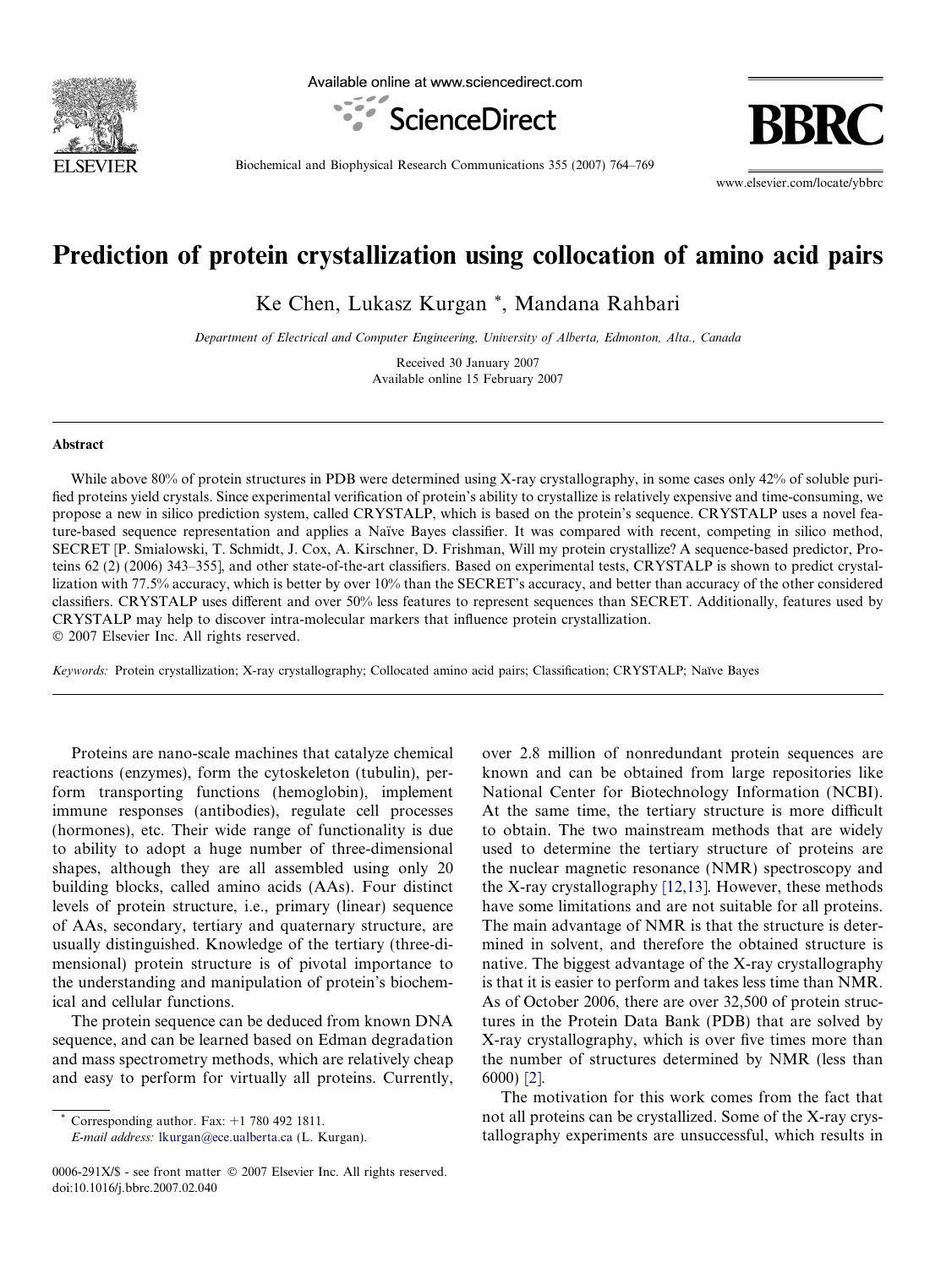

Available online at www.sciencedirect.com





Biochemical and Biophysical Research Communications 355 (2007) 764–769

www.elsevier.com/locate/ybbrc

# Prediction of protein crystallization using collocation of amino acid pairs

Ke Chen, Lukasz Kurgan \*, Mandana Rahbari

Department of Electrical and Computer Engineering, University of Alberta, Edmonton, Alta., Canada

Received 30 January 2007 Available online 15 February 2007

#### Abstract

While above 80% of protein structures in PDB were determined using X-ray crystallography, in some cases only 42% of soluble purified proteins yield crystals. Since experimental verification of protein's ability to crystallize is relatively expensive and time-consuming, we propose a new in silico prediction system, called CRYSTALP, which is based on the protein's sequence. CRYSTALP uses a novel feature-based sequence representation and applies a Naïve Bayes classifier. It was compared with recent, competing in silico method, SECRET [P. Smialowski, T. Schmidt, J. Cox, A. Kirschner, D. Frishman, Will my protein crystallize? A sequence-based predictor, Proteins 62 (2) (2006) 343–355], and other state-of-the-art classifiers. Based on experimental tests, CRYSTALP is shown to predict crystallization with 77.5% accuracy, which is better by over 10% than the SECRET's accuracy, and better than accuracy of the other considered classifiers. CRYSTALP uses different and over 50% less features to represent sequences than SECRET. Additionally, features used by CRYSTALP may help to discover intra-molecular markers that influence protein crystallization.  $© 2007 Elsevier Inc. All rights reserved.$ 

Keywords: Protein crystallization; X-ray crystallography; Collocated amino acid pairs; Classification; CRYSTALP; Naïve Bayes

Proteins are nano-scale machines that catalyze chemical reactions (enzymes), form the cytoskeleton (tubulin), perform transporting functions (hemoglobin), implement immune responses (antibodies), regulate cell processes (hormones), etc. Their wide range of functionality is due to ability to adopt a huge number of three-dimensional shapes, although they are all assembled using only 20 building blocks, called amino acids (AAs). Four distinct levels of protein structure, i.e., primary (linear) sequence of AAs, secondary, tertiary and quaternary structure, are usually distinguished. Knowledge of the tertiary (three-dimensional) protein structure is of pivotal importance to the understanding and manipulation of protein's biochemical and cellular functions.

The protein sequence can be deduced from known DNA sequence, and can be learned based on Edman degradation and mass spectrometry methods, which are relatively cheap and easy to perform for virtually all proteins. Currently,

E-mail address: [lkurgan@ece.ualberta.ca](mailto:lkurgan@ece.ualberta.ca) (L. Kurgan).

over 2.8 million of nonredundant protein sequences are known and can be obtained from large repositories like National Center for Biotechnology Information (NCBI). At the same time, the tertiary structure is more difficult to obtain. The two mainstream methods that are widely used to determine the tertiary structure of proteins are the nuclear magnetic resonance (NMR) spectroscopy and the X-ray crystallography [\[12,13\].](#page-5-0) However, these methods have some limitations and are not suitable for all proteins. The main advantage of NMR is that the structure is determined in solvent, and therefore the obtained structure is native. The biggest advantage of the X-ray crystallography is that it is easier to perform and takes less time than NMR. As of October 2006, there are over 32,500 of protein structures in the Protein Data Bank (PDB) that are solved by X-ray crystallography, which is over five times more than the number of structures determined by NMR (less than 6000) [\[2\].](#page-4-0)

The motivation for this work comes from the fact that not all proteins can be crystallized. Some of the X-ray crystallography experiments are unsuccessful, which results in

Corresponding author. Fax:  $+1$  780 492 1811.

<sup>0006-291</sup>X/\$ - see front matter © 2007 Elsevier Inc. All rights reserved. doi:10.1016/j.bbrc.2007.02.040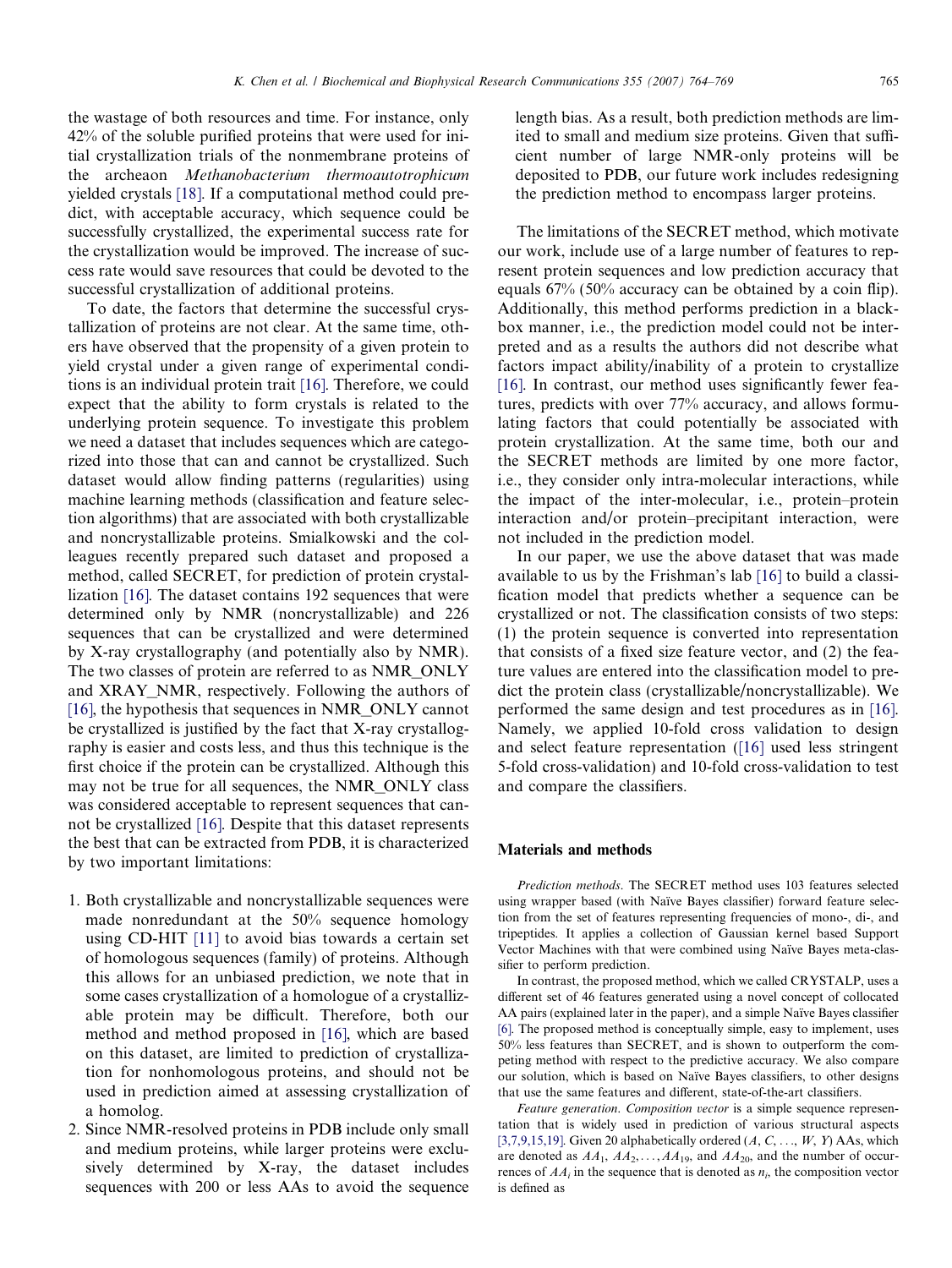the wastage of both resources and time. For instance, only 42% of the soluble purified proteins that were used for initial crystallization trials of the nonmembrane proteins of the archeaon Methanobacterium thermoautotrophicum yielded crystals [\[18\].](#page-5-0) If a computational method could predict, with acceptable accuracy, which sequence could be successfully crystallized, the experimental success rate for the crystallization would be improved. The increase of success rate would save resources that could be devoted to the successful crystallization of additional proteins.

To date, the factors that determine the successful crystallization of proteins are not clear. At the same time, others have observed that the propensity of a given protein to yield crystal under a given range of experimental conditions is an individual protein trait [\[16\]](#page-5-0). Therefore, we could expect that the ability to form crystals is related to the underlying protein sequence. To investigate this problem we need a dataset that includes sequences which are categorized into those that can and cannot be crystallized. Such dataset would allow finding patterns (regularities) using machine learning methods (classification and feature selection algorithms) that are associated with both crystallizable and noncrystallizable proteins. Smialkowski and the colleagues recently prepared such dataset and proposed a method, called SECRET, for prediction of protein crystallization [\[16\].](#page-5-0) The dataset contains 192 sequences that were determined only by NMR (noncrystallizable) and 226 sequences that can be crystallized and were determined by X-ray crystallography (and potentially also by NMR). The two classes of protein are referred to as NMR\_ONLY and XRAY\_NMR, respectively. Following the authors of [\[16\],](#page-5-0) the hypothesis that sequences in NMR\_ONLY cannot be crystallized is justified by the fact that X-ray crystallography is easier and costs less, and thus this technique is the first choice if the protein can be crystallized. Although this may not be true for all sequences, the NMR\_ONLY class was considered acceptable to represent sequences that cannot be crystallized [\[16\]](#page-5-0). Despite that this dataset represents the best that can be extracted from PDB, it is characterized by two important limitations:

- 1. Both crystallizable and noncrystallizable sequences were made nonredundant at the 50% sequence homology using CD-HIT [\[11\]](#page-5-0) to avoid bias towards a certain set of homologous sequences (family) of proteins. Although this allows for an unbiased prediction, we note that in some cases crystallization of a homologue of a crystallizable protein may be difficult. Therefore, both our method and method proposed in [\[16\],](#page-5-0) which are based on this dataset, are limited to prediction of crystallization for nonhomologous proteins, and should not be used in prediction aimed at assessing crystallization of a homolog.
- 2. Since NMR-resolved proteins in PDB include only small and medium proteins, while larger proteins were exclusively determined by X-ray, the dataset includes sequences with 200 or less AAs to avoid the sequence

length bias. As a result, both prediction methods are limited to small and medium size proteins. Given that sufficient number of large NMR-only proteins will be deposited to PDB, our future work includes redesigning the prediction method to encompass larger proteins.

The limitations of the SECRET method, which motivate our work, include use of a large number of features to represent protein sequences and low prediction accuracy that equals 67% (50% accuracy can be obtained by a coin flip). Additionally, this method performs prediction in a blackbox manner, i.e., the prediction model could not be interpreted and as a results the authors did not describe what factors impact ability/inability of a protein to crystallize [\[16\].](#page-5-0) In contrast, our method uses significantly fewer features, predicts with over 77% accuracy, and allows formulating factors that could potentially be associated with protein crystallization. At the same time, both our and the SECRET methods are limited by one more factor, i.e., they consider only intra-molecular interactions, while the impact of the inter-molecular, i.e., protein–protein interaction and/or protein–precipitant interaction, were not included in the prediction model.

In our paper, we use the above dataset that was made available to us by the Frishman's lab [\[16\]](#page-5-0) to build a classification model that predicts whether a sequence can be crystallized or not. The classification consists of two steps: (1) the protein sequence is converted into representation that consists of a fixed size feature vector, and (2) the feature values are entered into the classification model to predict the protein class (crystallizable/noncrystallizable). We performed the same design and test procedures as in [\[16\].](#page-5-0) Namely, we applied 10-fold cross validation to design and select feature representation [\(\[16\]](#page-5-0) used less stringent 5-fold cross-validation) and 10-fold cross-validation to test and compare the classifiers.

#### Materials and methods

Prediction methods. The SECRET method uses 103 features selected using wrapper based (with Naïve Bayes classifier) forward feature selection from the set of features representing frequencies of mono-, di-, and tripeptides. It applies a collection of Gaussian kernel based Support Vector Machines with that were combined using Naïve Bayes meta-classifier to perform prediction.

In contrast, the proposed method, which we called CRYSTALP, uses a different set of 46 features generated using a novel concept of collocated AA pairs (explained later in the paper), and a simple Naïve Bayes classifier [\[6\].](#page-5-0) The proposed method is conceptually simple, easy to implement, uses 50% less features than SECRET, and is shown to outperform the competing method with respect to the predictive accuracy. We also compare our solution, which is based on Naïve Bayes classifiers, to other designs that use the same features and different, state-of-the-art classifiers.

Feature generation. Composition vector is a simple sequence representation that is widely used in prediction of various structural aspects [\[3,7,9,15,19\]](#page-4-0). Given 20 alphabetically ordered  $(A, C, \ldots, W, Y)$  AAs, which are denoted as  $AA_1$ ,  $AA_2$ , ...,  $AA_{19}$ , and  $AA_{20}$ , and the number of occurrences of  $AA_i$  in the sequence that is denoted as  $n_i$ , the composition vector is defined as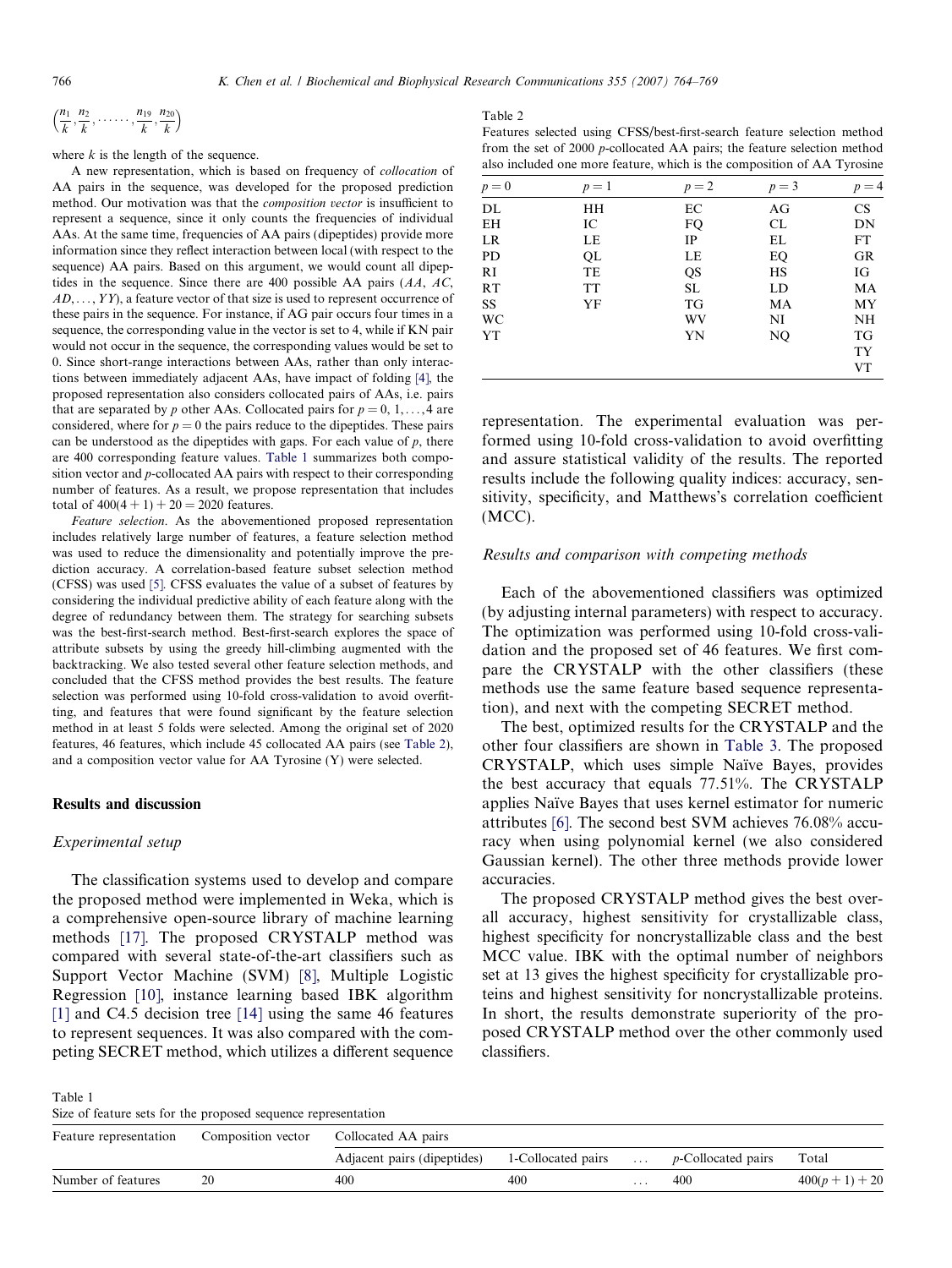<span id="page-2-0"></span>
$$
\left(\frac{n_1}{k},\frac{n_2}{k},\ldots,\frac{n_{19}}{k},\frac{n_{20}}{k}\right)
$$

where  $k$  is the length of the sequence.

A new representation, which is based on frequency of collocation of AA pairs in the sequence, was developed for the proposed prediction method. Our motivation was that the composition vector is insufficient to represent a sequence, since it only counts the frequencies of individual AAs. At the same time, frequencies of AA pairs (dipeptides) provide more information since they reflect interaction between local (with respect to the sequence) AA pairs. Based on this argument, we would count all dipeptides in the sequence. Since there are 400 possible AA pairs  $(AA, AC, AC)$  $AD, \ldots, YY$ , a feature vector of that size is used to represent occurrence of these pairs in the sequence. For instance, if AG pair occurs four times in a sequence, the corresponding value in the vector is set to 4, while if KN pair would not occur in the sequence, the corresponding values would be set to 0. Since short-range interactions between AAs, rather than only interactions between immediately adjacent AAs, have impact of folding [\[4\]](#page-4-0), the proposed representation also considers collocated pairs of AAs, i.e. pairs that are separated by p other AAs. Collocated pairs for  $p = 0, 1, \ldots, 4$  are considered, where for  $p = 0$  the pairs reduce to the dipeptides. These pairs can be understood as the dipeptides with gaps. For each value of  $p$ , there are 400 corresponding feature values. Table 1 summarizes both composition vector and p-collocated AA pairs with respect to their corresponding number of features. As a result, we propose representation that includes total of  $400(4 + 1) + 20 = 2020$  features.

Feature selection. As the abovementioned proposed representation includes relatively large number of features, a feature selection method was used to reduce the dimensionality and potentially improve the prediction accuracy. A correlation-based feature subset selection method (CFSS) was used [\[5\].](#page-5-0) CFSS evaluates the value of a subset of features by considering the individual predictive ability of each feature along with the degree of redundancy between them. The strategy for searching subsets was the best-first-search method. Best-first-search explores the space of attribute subsets by using the greedy hill-climbing augmented with the backtracking. We also tested several other feature selection methods, and concluded that the CFSS method provides the best results. The feature selection was performed using 10-fold cross-validation to avoid overfitting, and features that were found significant by the feature selection method in at least 5 folds were selected. Among the original set of 2020 features, 46 features, which include 45 collocated AA pairs (see Table 2), and a composition vector value for AA Tyrosine (Y) were selected.

### Results and discussion

# Experimental setup

The classification systems used to develop and compare the proposed method were implemented in Weka, which is a comprehensive open-source library of machine learning methods [\[17\].](#page-5-0) The proposed CRYSTALP method was compared with several state-of-the-art classifiers such as Support Vector Machine (SVM) [\[8\],](#page-5-0) Multiple Logistic Regression [\[10\]](#page-5-0), instance learning based IBK algorithm [\[1\]](#page-4-0) and C4.5 decision tree [\[14\]](#page-5-0) using the same 46 features to represent sequences. It was also compared with the competing SECRET method, which utilizes a different sequence

#### Table 2

Features selected using CFSS/best-first-search feature selection method from the set of 2000 p-collocated AA pairs; the feature selection method also included one more feature, which is the composition of AA Tyrosine

| $p = 0$   | $p=1$     | $p=2$ | $p=3$ | $p = 4$   |
|-----------|-----------|-------|-------|-----------|
| DL        | HH        | EС    | AG    | <b>CS</b> |
| EH        | IC        | FQ    | CL    | DN        |
| LR        | LE        | IP    | EL    | FT        |
| PD        | QL        | LE    | EQ    | GR        |
| RI        | TE        | QS    | HS    | IG        |
| RT        | <b>TT</b> | SL    | LD    | MA        |
| <b>SS</b> | YF        | TG    | MA    | MY        |
| <b>WC</b> |           | WV    | NI    | NH        |
| YT        |           | YN    | NQ    | TG        |
|           |           |       |       | <b>TY</b> |
|           |           |       |       | <b>VT</b> |

representation. The experimental evaluation was performed using 10-fold cross-validation to avoid overfitting and assure statistical validity of the results. The reported results include the following quality indices: accuracy, sensitivity, specificity, and Matthews's correlation coefficient (MCC).

### Results and comparison with competing methods

Each of the abovementioned classifiers was optimized (by adjusting internal parameters) with respect to accuracy. The optimization was performed using 10-fold cross-validation and the proposed set of 46 features. We first compare the CRYSTALP with the other classifiers (these methods use the same feature based sequence representation), and next with the competing SECRET method.

The best, optimized results for the CRYSTALP and the other four classifiers are shown in [Table 3.](#page-3-0) The proposed CRYSTALP, which uses simple Naïve Bayes, provides the best accuracy that equals 77.51%. The CRYSTALP applies Naïve Bayes that uses kernel estimator for numeric attributes [\[6\].](#page-5-0) The second best SVM achieves 76.08% accuracy when using polynomial kernel (we also considered Gaussian kernel). The other three methods provide lower accuracies.

The proposed CRYSTALP method gives the best overall accuracy, highest sensitivity for crystallizable class, highest specificity for noncrystallizable class and the best MCC value. IBK with the optimal number of neighbors set at 13 gives the highest specificity for crystallizable proteins and highest sensitivity for noncrystallizable proteins. In short, the results demonstrate superiority of the proposed CRYSTALP method over the other commonly used classifiers.

Table 1 Size of feature sets for the proposed sequence representation

| Feature representation | Composition vector | Collocated AA pairs         |                    |                             |                            |                   |  |  |
|------------------------|--------------------|-----------------------------|--------------------|-----------------------------|----------------------------|-------------------|--|--|
|                        |                    | Adjacent pairs (dipeptides) | 1-Collocated pairs | $\sim$ $\sim$ $\sim$ $\sim$ | <i>p</i> -Collocated pairs | Total             |  |  |
| Number of features     | 20                 | 400                         | 400                | .                           | 400                        | $400(p + 1) + 20$ |  |  |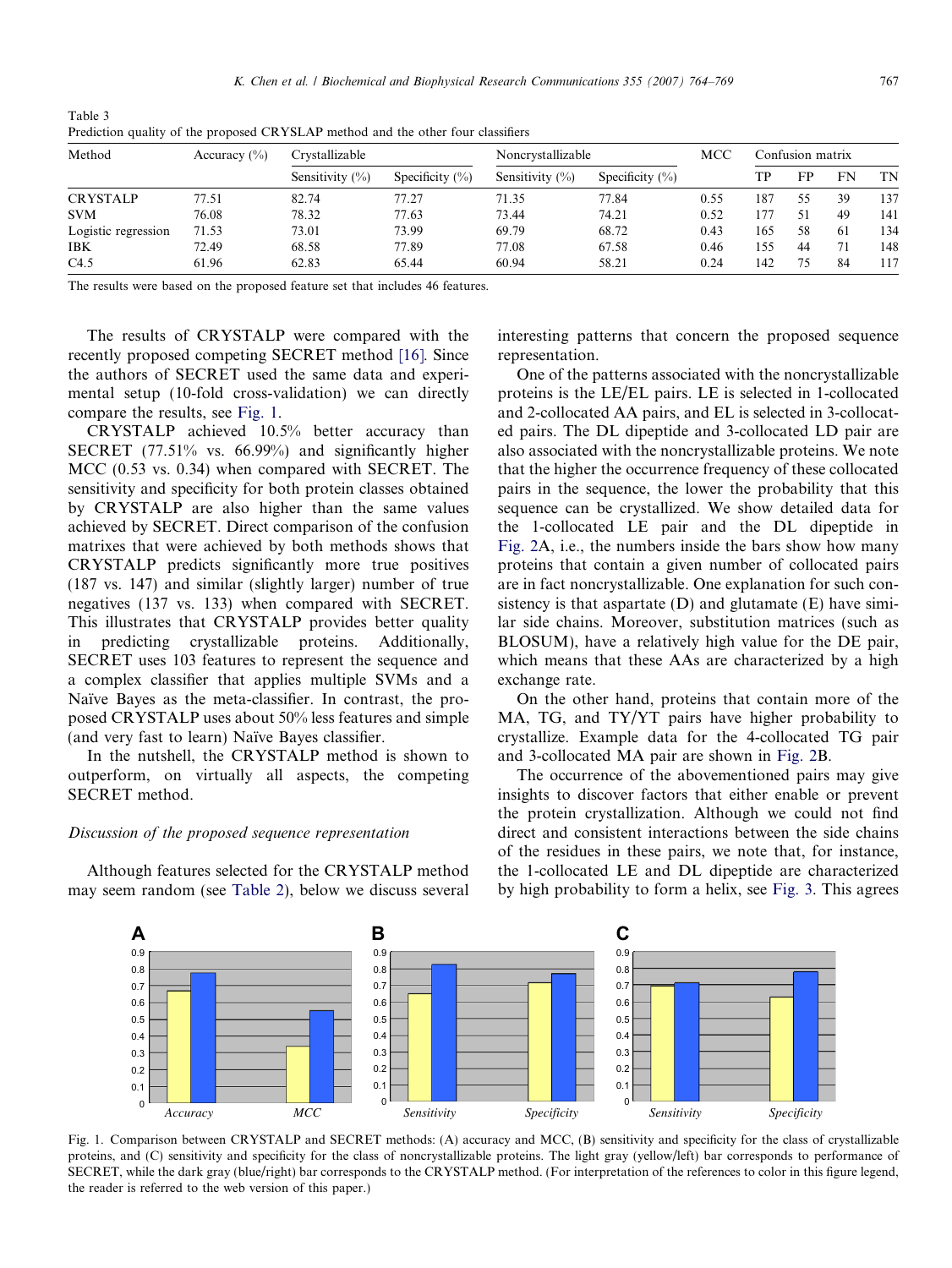| Treatenoil quality of the proposed citribility intended and the other road endominato |                  |                     |                     |                     |                     |      |                  |    |     |     |
|---------------------------------------------------------------------------------------|------------------|---------------------|---------------------|---------------------|---------------------|------|------------------|----|-----|-----|
| Method                                                                                | Accuracy $(\% )$ | Crystallizable      |                     | Noncrystallizable   |                     | MCC  | Confusion matrix |    |     |     |
|                                                                                       |                  | Sensitivity $(\% )$ | Specificity $(\% )$ | Sensitivity $(\% )$ | Specificity $(\% )$ |      | TP               | FP | FN  | TN  |
| <b>CRYSTALP</b>                                                                       | 77.51            | 82.74               | 77.27               | 71.35               | 77.84               | 0.55 | 187              | 55 | 39  | 137 |
| <b>SVM</b>                                                                            | 76.08            | 78.32               | 77.63               | 73.44               | 74.21               | 0.52 | 177              | 51 | 49  | 141 |
| Logistic regression                                                                   | 71.53            | 73.01               | 73.99               | 69.79               | 68.72               | 0.43 | 165              | 58 | -61 | 134 |
| <b>IBK</b>                                                                            | 72.49            | 68.58               | 77.89               | 77.08               | 67.58               | 0.46 | 155              | 44 | 71  | 148 |
| C4.5                                                                                  | 61.96            | 62.83               | 65.44               | 60.94               | 58.21               | 0.24 | 142              | 75 | 84  | 117 |

<span id="page-3-0"></span>Table 3 Prediction quality of the proposed CRYSLAP method and the other four classifiers

The results were based on the proposed feature set that includes 46 features.

The results of CRYSTALP were compared with the recently proposed competing SECRET method [\[16\]](#page-5-0). Since the authors of SECRET used the same data and experimental setup (10-fold cross-validation) we can directly compare the results, see Fig. 1.

CRYSTALP achieved 10.5% better accuracy than SECRET (77.51% vs. 66.99%) and significantly higher MCC (0.53 vs. 0.34) when compared with SECRET. The sensitivity and specificity for both protein classes obtained by CRYSTALP are also higher than the same values achieved by SECRET. Direct comparison of the confusion matrixes that were achieved by both methods shows that CRYSTALP predicts significantly more true positives (187 vs. 147) and similar (slightly larger) number of true negatives (137 vs. 133) when compared with SECRET. This illustrates that CRYSTALP provides better quality in predicting crystallizable proteins. Additionally, SECRET uses 103 features to represent the sequence and a complex classifier that applies multiple SVMs and a Naïve Bayes as the meta-classifier. In contrast, the proposed CRYSTALP uses about 50% less features and simple (and very fast to learn) Naïve Bayes classifier.

In the nutshell, the CRYSTALP method is shown to outperform, on virtually all aspects, the competing SECRET method.

# Discussion of the proposed sequence representation

Although features selected for the CRYSTALP method may seem random (see [Table 2\)](#page-2-0), below we discuss several interesting patterns that concern the proposed sequence representation.

One of the patterns associated with the noncrystallizable proteins is the LE/EL pairs. LE is selected in 1-collocated and 2-collocated AA pairs, and EL is selected in 3-collocated pairs. The DL dipeptide and 3-collocated LD pair are also associated with the noncrystallizable proteins. We note that the higher the occurrence frequency of these collocated pairs in the sequence, the lower the probability that this sequence can be crystallized. We show detailed data for the 1-collocated LE pair and the DL dipeptide in [Fig. 2A](#page-4-0), i.e., the numbers inside the bars show how many proteins that contain a given number of collocated pairs are in fact noncrystallizable. One explanation for such consistency is that aspartate  $(D)$  and glutamate  $(E)$  have similar side chains. Moreover, substitution matrices (such as BLOSUM), have a relatively high value for the DE pair, which means that these AAs are characterized by a high exchange rate.

On the other hand, proteins that contain more of the MA, TG, and TY/YT pairs have higher probability to crystallize. Example data for the 4-collocated TG pair and 3-collocated MA pair are shown in [Fig. 2](#page-4-0)B.

The occurrence of the abovementioned pairs may give insights to discover factors that either enable or prevent the protein crystallization. Although we could not find direct and consistent interactions between the side chains of the residues in these pairs, we note that, for instance, the 1-collocated LE and DL dipeptide are characterized by high probability to form a helix, see [Fig. 3](#page-4-0). This agrees



Fig. 1. Comparison between CRYSTALP and SECRET methods: (A) accuracy and MCC, (B) sensitivity and specificity for the class of crystallizable proteins, and (C) sensitivity and specificity for the class of noncrystallizable proteins. The light gray (yellow/left) bar corresponds to performance of SECRET, while the dark gray (blue/right) bar corresponds to the CRYSTALP method. (For interpretation of the references to color in this figure legend, the reader is referred to the web version of this paper.)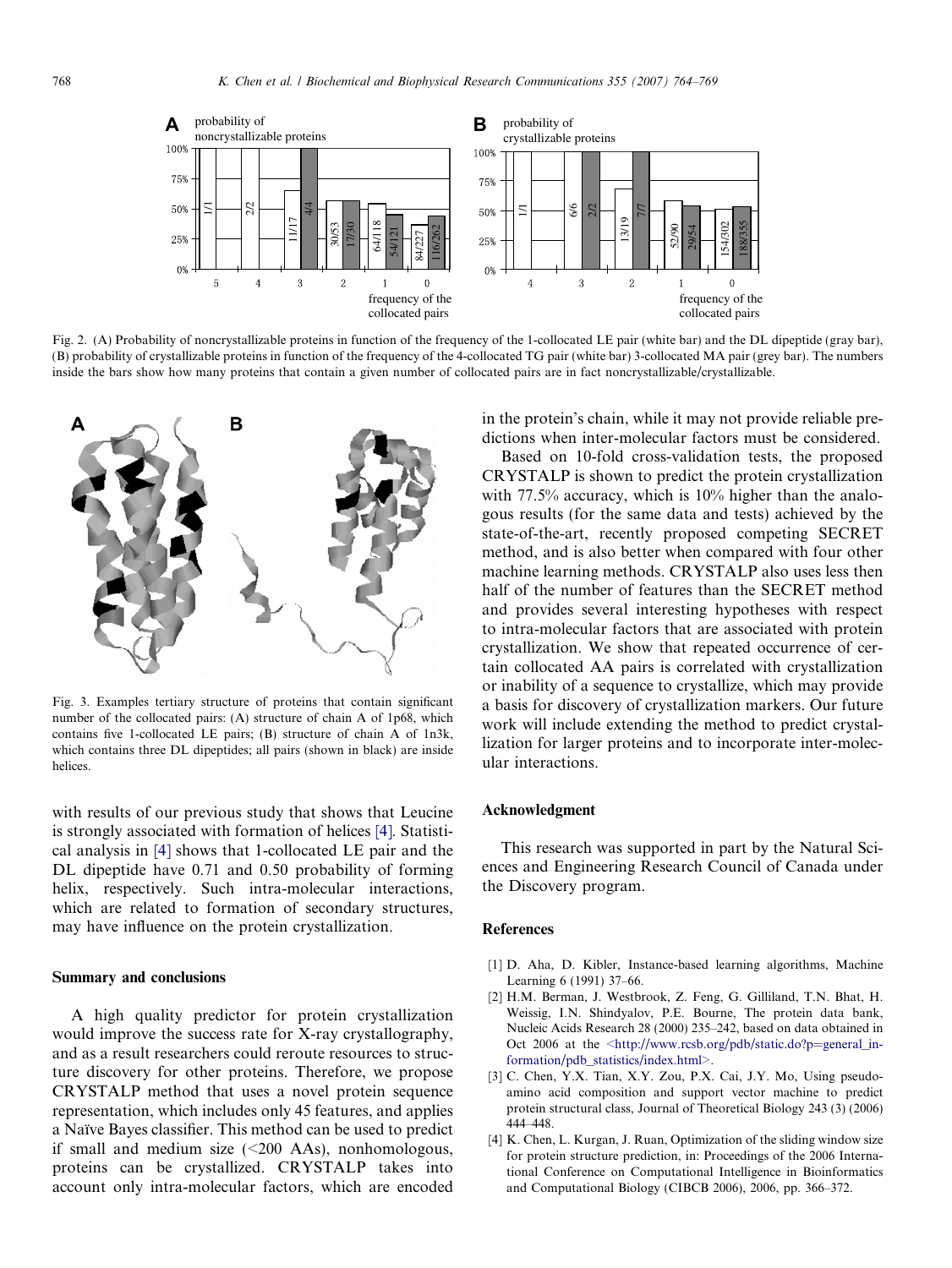<span id="page-4-0"></span>

Fig. 2. (A) Probability of noncrystallizable proteins in function of the frequency of the 1-collocated LE pair (white bar) and the DL dipeptide (gray bar), (B) probability of crystallizable proteins in function of the frequency of the 4-collocated TG pair (white bar) 3-collocated MA pair (grey bar). The numbers inside the bars show how many proteins that contain a given number of collocated pairs are in fact noncrystallizable/crystallizable.



Fig. 3. Examples tertiary structure of proteins that contain significant number of the collocated pairs: (A) structure of chain A of 1p68, which contains five 1-collocated LE pairs; (B) structure of chain A of 1n3k, which contains three DL dipeptides; all pairs (shown in black) are inside helices.

with results of our previous study that shows that Leucine is strongly associated with formation of helices [4]. Statistical analysis in [4] shows that 1-collocated LE pair and the DL dipeptide have 0.71 and 0.50 probability of forming helix, respectively. Such intra-molecular interactions, which are related to formation of secondary structures, may have influence on the protein crystallization.

#### Summary and conclusions

A high quality predictor for protein crystallization would improve the success rate for X-ray crystallography, and as a result researchers could reroute resources to structure discovery for other proteins. Therefore, we propose CRYSTALP method that uses a novel protein sequence representation, which includes only 45 features, and applies a Naïve Bayes classifier. This method can be used to predict if small and medium size  $(\leq 200 \text{ AAs})$ , nonhomologous, proteins can be crystallized. CRYSTALP takes into account only intra-molecular factors, which are encoded

in the protein's chain, while it may not provide reliable predictions when inter-molecular factors must be considered.

Based on 10-fold cross-validation tests, the proposed CRYSTALP is shown to predict the protein crystallization with 77.5% accuracy, which is 10% higher than the analogous results (for the same data and tests) achieved by the state-of-the-art, recently proposed competing SECRET method, and is also better when compared with four other machine learning methods. CRYSTALP also uses less then half of the number of features than the SECRET method and provides several interesting hypotheses with respect to intra-molecular factors that are associated with protein crystallization. We show that repeated occurrence of certain collocated AA pairs is correlated with crystallization or inability of a sequence to crystallize, which may provide a basis for discovery of crystallization markers. Our future work will include extending the method to predict crystallization for larger proteins and to incorporate inter-molecular interactions.

## Acknowledgment

This research was supported in part by the Natural Sciences and Engineering Research Council of Canada under the Discovery program.

#### References

- [1] D. Aha, D. Kibler, Instance-based learning algorithms, Machine Learning 6 (1991) 37–66.
- [2] H.M. Berman, J. Westbrook, Z. Feng, G. Gilliland, T.N. Bhat, H. Weissig, I.N. Shindyalov, P.E. Bourne, The protein data bank, Nucleic Acids Research 28 (2000) 235–242, based on data obtained in Oct 2006 at the [<http://www.rcsb.org/pdb/static.do?p=general\\_in](http://www.rcsb.org/pdb/static.do?p=general_information/pdb_statistics/index.html)[formation/pdb\\_statistics/index.html>.](http://www.rcsb.org/pdb/static.do?p=general_information/pdb_statistics/index.html)
- [3] C. Chen, Y.X. Tian, X.Y. Zou, P.X. Cai, J.Y. Mo, Using pseudoamino acid composition and support vector machine to predict protein structural class, Journal of Theoretical Biology 243 (3) (2006) 444–448.
- [4] K. Chen, L. Kurgan, J. Ruan, Optimization of the sliding window size for protein structure prediction, in: Proceedings of the 2006 International Conference on Computational Intelligence in Bioinformatics and Computational Biology (CIBCB 2006), 2006, pp. 366–372.